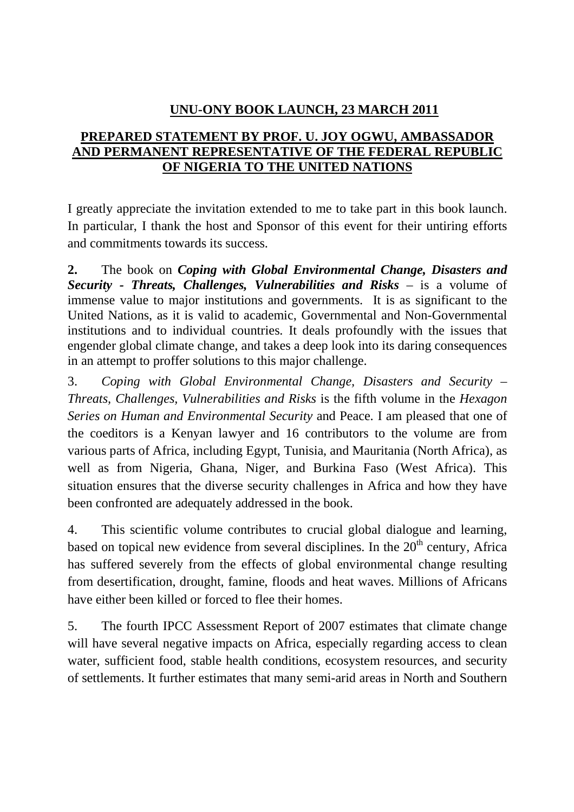## **UNU-ONY BOOK LAUNCH, 23 MARCH 2011**

## **PREPARED STATEMENT BY PROF. U. JOY OGWU, AMBASSADOR AND PERMANENT REPRESENTATIVE OF THE FEDERAL REPUBLIC OF NIGERIA TO THE UNITED NATIONS**

I greatly appreciate the invitation extended to me to take part in this book launch. In particular, I thank the host and Sponsor of this event for their untiring efforts and commitments towards its success.

**2.** The book on *Coping with Global Environmental Change, Disasters and Security - Threats, Challenges, Vulnerabilities and Risks* – is a volume of immense value to major institutions and governments. It is as significant to the United Nations, as it is valid to academic, Governmental and Non-Governmental institutions and to individual countries. It deals profoundly with the issues that engender global climate change, and takes a deep look into its daring consequences in an attempt to proffer solutions to this major challenge.

3. *Coping with Global Environmental Change, Disasters and Security – Threats, Challenges, Vulnerabilities and Risks* is the fifth volume in the *Hexagon Series on Human and Environmental Security* and Peace. I am pleased that one of the coeditors is a Kenyan lawyer and 16 contributors to the volume are from various parts of Africa, including Egypt, Tunisia, and Mauritania (North Africa), as well as from Nigeria, Ghana, Niger, and Burkina Faso (West Africa). This situation ensures that the diverse security challenges in Africa and how they have been confronted are adequately addressed in the book.

4. This scientific volume contributes to crucial global dialogue and learning, based on topical new evidence from several disciplines. In the  $20<sup>th</sup>$  century, Africa has suffered severely from the effects of global environmental change resulting from desertification, drought, famine, floods and heat waves. Millions of Africans have either been killed or forced to flee their homes.

5. The fourth IPCC Assessment Report of 2007 estimates that climate change will have several negative impacts on Africa, especially regarding access to clean water, sufficient food, stable health conditions, ecosystem resources, and security of settlements. It further estimates that many semi-arid areas in North and Southern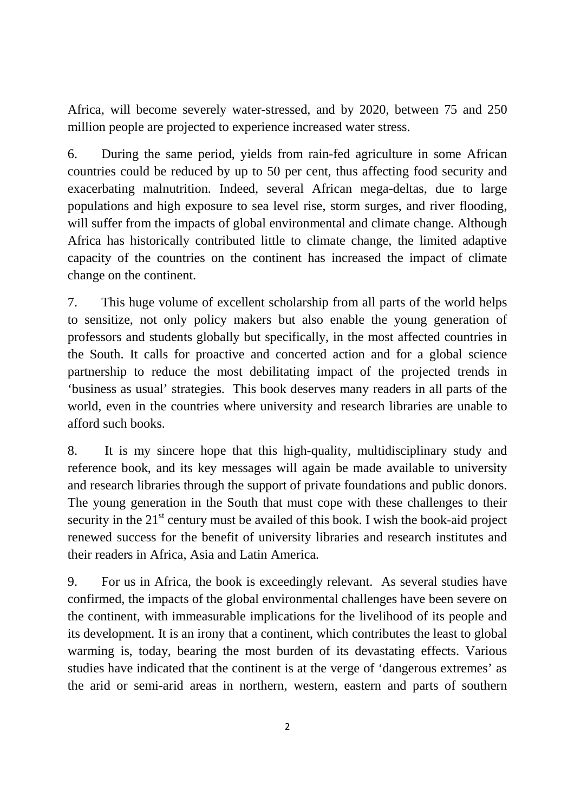Africa, will become severely water-stressed, and by 2020, between 75 and 250 million people are projected to experience increased water stress.

6. During the same period, yields from rain-fed agriculture in some African countries could be reduced by up to 50 per cent, thus affecting food security and exacerbating malnutrition. Indeed, several African mega-deltas, due to large populations and high exposure to sea level rise, storm surges, and river flooding, will suffer from the impacts of global environmental and climate change. Although Africa has historically contributed little to climate change, the limited adaptive capacity of the countries on the continent has increased the impact of climate change on the continent.

7. This huge volume of excellent scholarship from all parts of the world helps to sensitize, not only policy makers but also enable the young generation of professors and students globally but specifically, in the most affected countries in the South. It calls for proactive and concerted action and for a global science partnership to reduce the most debilitating impact of the projected trends in 'business as usual' strategies. This book deserves many readers in all parts of the world, even in the countries where university and research libraries are unable to afford such books.

8. It is my sincere hope that this high-quality, multidisciplinary study and reference book, and its key messages will again be made available to university and research libraries through the support of private foundations and public donors. The young generation in the South that must cope with these challenges to their security in the  $21<sup>st</sup>$  century must be availed of this book. I wish the book-aid project renewed success for the benefit of university libraries and research institutes and their readers in Africa, Asia and Latin America.

9. For us in Africa, the book is exceedingly relevant. As several studies have confirmed, the impacts of the global environmental challenges have been severe on the continent, with immeasurable implications for the livelihood of its people and its development. It is an irony that a continent, which contributes the least to global warming is, today, bearing the most burden of its devastating effects. Various studies have indicated that the continent is at the verge of 'dangerous extremes' as the arid or semi-arid areas in northern, western, eastern and parts of southern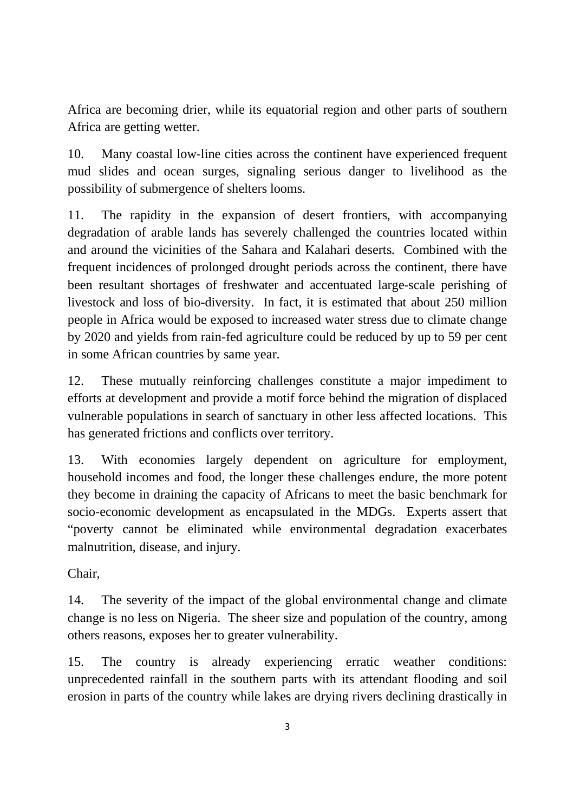Africa are becoming drier, while its equatorial region and other parts of southern Africa are getting wetter.

10. Many coastal low-line cities across the continent have experienced frequent mud slides and ocean surges, signaling serious danger to livelihood as the possibility of submergence of shelters looms.

11. The rapidity in the expansion of desert frontiers, with accompanying degradation of arable lands has severely challenged the countries located within and around the vicinities of the Sahara and Kalahari deserts. Combined with the frequent incidences of prolonged drought periods across the continent, there have been resultant shortages of freshwater and accentuated large-scale perishing of livestock and loss of bio-diversity. In fact, it is estimated that about 250 million people in Africa would be exposed to increased water stress due to climate change by 2020 and yields from rain-fed agriculture could be reduced by up to 59 per cent in some African countries by same year.

12. These mutually reinforcing challenges constitute a major impediment to efforts at development and provide a motif force behind the migration of displaced vulnerable populations in search of sanctuary in other less affected locations. This has generated frictions and conflicts over territory.

13. With economies largely dependent on agriculture for employment, household incomes and food, the longer these challenges endure, the more potent they become in draining the capacity of Africans to meet the basic benchmark for socio-economic development as encapsulated in the MDGs. Experts assert that "poverty cannot be eliminated while environmental degradation exacerbates malnutrition, disease, and injury.

Chair,

14. The severity of the impact of the global environmental change and climate change is no less on Nigeria. The sheer size and population of the country, among others reasons, exposes her to greater vulnerability.

15. The country is already experiencing erratic weather conditions: unprecedented rainfall in the southern parts with its attendant flooding and soil erosion in parts of the country while lakes are drying rivers declining drastically in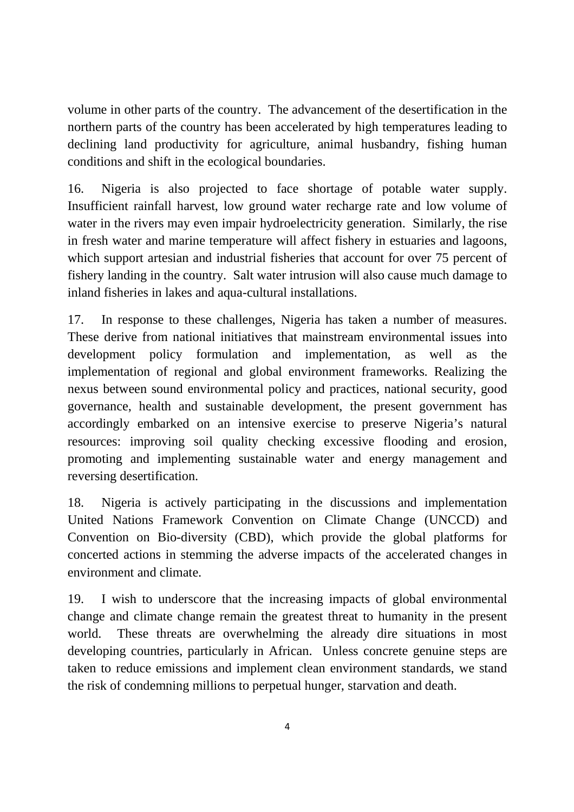volume in other parts of the country. The advancement of the desertification in the northern parts of the country has been accelerated by high temperatures leading to declining land productivity for agriculture, animal husbandry, fishing human conditions and shift in the ecological boundaries.

16. Nigeria is also projected to face shortage of potable water supply. Insufficient rainfall harvest, low ground water recharge rate and low volume of water in the rivers may even impair hydroelectricity generation. Similarly, the rise in fresh water and marine temperature will affect fishery in estuaries and lagoons, which support artesian and industrial fisheries that account for over 75 percent of fishery landing in the country. Salt water intrusion will also cause much damage to inland fisheries in lakes and aqua-cultural installations.

17. In response to these challenges, Nigeria has taken a number of measures. These derive from national initiatives that mainstream environmental issues into development policy formulation and implementation, as well as the implementation of regional and global environment frameworks. Realizing the nexus between sound environmental policy and practices, national security, good governance, health and sustainable development, the present government has accordingly embarked on an intensive exercise to preserve Nigeria's natural resources: improving soil quality checking excessive flooding and erosion, promoting and implementing sustainable water and energy management and reversing desertification.

18. Nigeria is actively participating in the discussions and implementation United Nations Framework Convention on Climate Change (UNCCD) and Convention on Bio-diversity (CBD), which provide the global platforms for concerted actions in stemming the adverse impacts of the accelerated changes in environment and climate.

19. I wish to underscore that the increasing impacts of global environmental change and climate change remain the greatest threat to humanity in the present world. These threats are overwhelming the already dire situations in most developing countries, particularly in African. Unless concrete genuine steps are taken to reduce emissions and implement clean environment standards, we stand the risk of condemning millions to perpetual hunger, starvation and death.